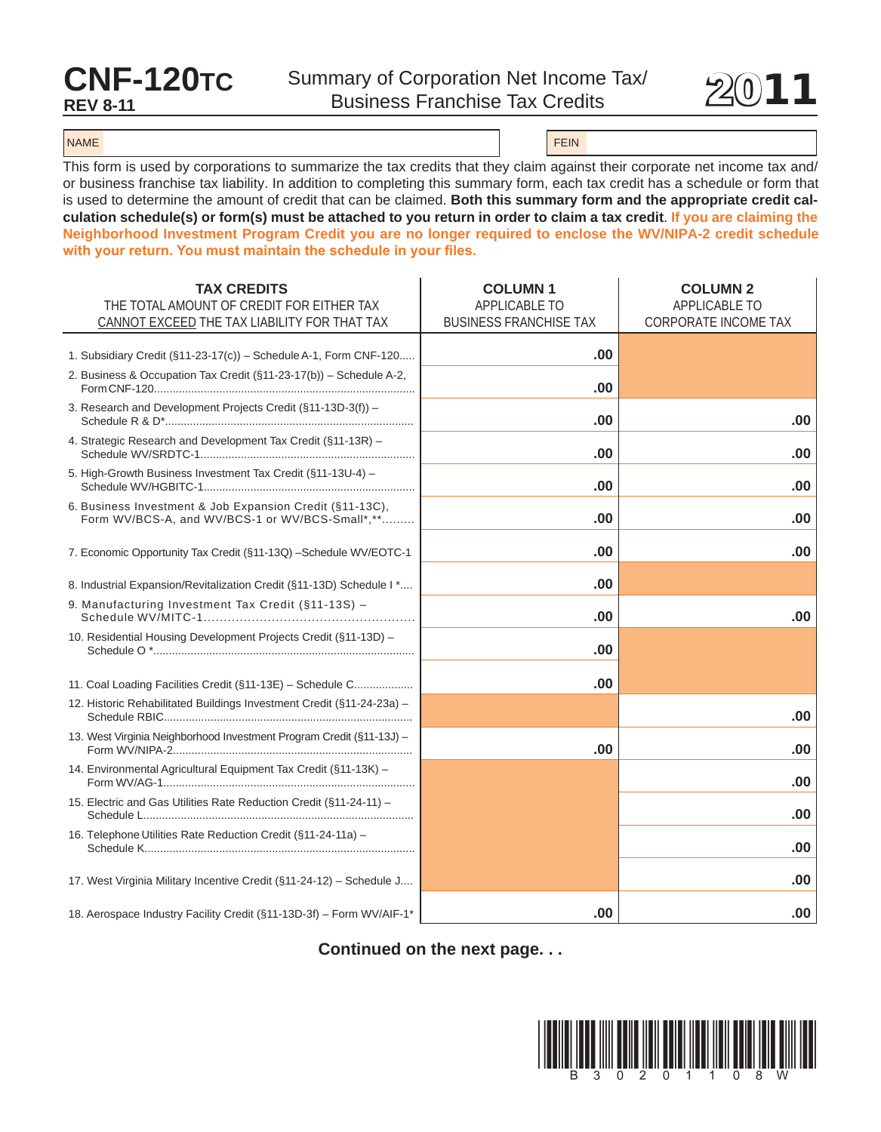## **CNF-120TC**<br>REV 8-11



## NAME FEIN AND RESERVE THE SERVE THAT IS NOT THE SERVE THAT IS NOT THE SERVE THAT IS NOT THE SERVE THAT IS NOT THE SERVE THAT IS NOT THE SERVE THAT IS NOT THE SERVE THAT IS NOT THE SERVE THAT IS NOT THE SERVE THAT IS NOT TH

This form is used by corporations to summarize the tax credits that they claim against their corporate net income tax and/ or business franchise tax liability. In addition to completing this summary form, each tax credit has a schedule or form that is used to determine the amount of credit that can be claimed. Both this summary form and the appropriate credit cal**culation schedule(s) or form(s) must be attached to you return in order to claim a tax credit**. **if you are claiming the Neighborhood investment Program Credit you are no longer required to enclose the WV/NiPA-2 credit schedule with your return. You must maintain the schedule in your files.**

| <b>TAX CREDITS</b>                                                                                          | <b>COLUMN1</b>                | <b>COLUMN 2</b>             |
|-------------------------------------------------------------------------------------------------------------|-------------------------------|-----------------------------|
| THE TOTAL AMOUNT OF CREDIT FOR EITHER TAX                                                                   | <b>APPLICABLE TO</b>          | <b>APPLICABLE TO</b>        |
| CANNOT EXCEED THE TAX LIABILITY FOR THAT TAX                                                                | <b>BUSINESS FRANCHISE TAX</b> | <b>CORPORATE INCOME TAX</b> |
| 1. Subsidiary Credit (§11-23-17(c)) - Schedule A-1, Form CNF-120                                            | .00                           |                             |
| 2. Business & Occupation Tax Credit (§11-23-17(b)) - Schedule A-2,                                          | .00                           |                             |
| 3. Research and Development Projects Credit (§11-13D-3(f)) –                                                | .00                           | .00                         |
| 4. Strategic Research and Development Tax Credit (§11-13R) -                                                | .00                           | .00                         |
| 5. High-Growth Business Investment Tax Credit (§11-13U-4) -                                                 | .00                           | .00                         |
| 6. Business Investment & Job Expansion Credit (§11-13C),<br>Form WV/BCS-A, and WV/BCS-1 or WV/BCS-Small*,** | .00                           | .00                         |
| 7. Economic Opportunity Tax Credit (§11-13Q) - Schedule WV/EOTC-1                                           | .00                           | .00                         |
| 8. Industrial Expansion/Revitalization Credit (§11-13D) Schedule I *                                        | .00                           |                             |
| 9. Manufacturing Investment Tax Credit (§11-13S) -                                                          | .00                           | .00                         |
| 10. Residential Housing Development Projects Credit (§11-13D) -                                             | .00                           |                             |
| 11. Coal Loading Facilities Credit (§11-13E) - Schedule C                                                   | .00                           |                             |
| 12. Historic Rehabilitated Buildings Investment Credit (§11-24-23a) -                                       |                               | .00                         |
| 13. West Virginia Neighborhood Investment Program Credit (§11-13J) -                                        | .00                           | .00                         |
| 14. Environmental Agricultural Equipment Tax Credit (§11-13K) -                                             |                               | .00                         |
| 15. Electric and Gas Utilities Rate Reduction Credit (§11-24-11) -                                          |                               | .00                         |
| 16. Telephone Utilities Rate Reduction Credit (§11-24-11a) -                                                |                               | .00                         |
| 17. West Virginia Military Incentive Credit (§11-24-12) - Schedule J                                        |                               | .00                         |
| 18. Aerospace Industry Facility Credit (§11-13D-3f) - Form WV/AIF-1*                                        | .00                           | .00                         |

## **Continued on the next page. . .**